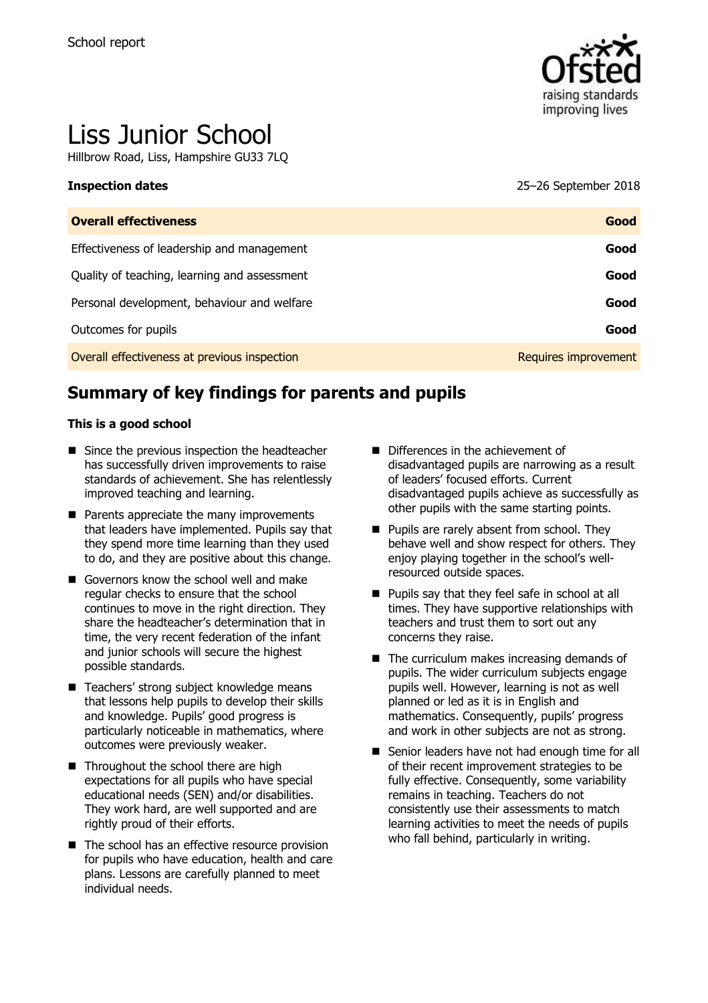

# Liss Junior School

Hillbrow Road, Liss, Hampshire GU33 7LQ

| Inspection dates                             | 25–26 September 2018 |
|----------------------------------------------|----------------------|
| <b>Overall effectiveness</b>                 | Good                 |
| Effectiveness of leadership and management   | Good                 |
| Quality of teaching, learning and assessment | Good                 |
| Personal development, behaviour and welfare  | Good                 |
| Outcomes for pupils                          | Good                 |
| Overall effectiveness at previous inspection | Requires improvement |

# **Summary of key findings for parents and pupils**

#### **This is a good school**

- Since the previous inspection the headteacher has successfully driven improvements to raise standards of achievement. She has relentlessly improved teaching and learning.
- **Parents appreciate the many improvements** that leaders have implemented. Pupils say that they spend more time learning than they used to do, and they are positive about this change.
- Governors know the school well and make regular checks to ensure that the school continues to move in the right direction. They share the headteacher's determination that in time, the very recent federation of the infant and junior schools will secure the highest possible standards.
- Teachers' strong subject knowledge means that lessons help pupils to develop their skills and knowledge. Pupils' good progress is particularly noticeable in mathematics, where outcomes were previously weaker.
- Throughout the school there are high expectations for all pupils who have special educational needs (SEN) and/or disabilities. They work hard, are well supported and are rightly proud of their efforts.
- The school has an effective resource provision for pupils who have education, health and care plans. Lessons are carefully planned to meet individual needs.
- Differences in the achievement of disadvantaged pupils are narrowing as a result of leaders' focused efforts. Current disadvantaged pupils achieve as successfully as other pupils with the same starting points.
- **Pupils are rarely absent from school. They** behave well and show respect for others. They enjoy playing together in the school's wellresourced outside spaces.
- Pupils say that they feel safe in school at all times. They have supportive relationships with teachers and trust them to sort out any concerns they raise.
- $\blacksquare$  The curriculum makes increasing demands of pupils. The wider curriculum subjects engage pupils well. However, learning is not as well planned or led as it is in English and mathematics. Consequently, pupils' progress and work in other subjects are not as strong.
- Senior leaders have not had enough time for all of their recent improvement strategies to be fully effective. Consequently, some variability remains in teaching. Teachers do not consistently use their assessments to match learning activities to meet the needs of pupils who fall behind, particularly in writing.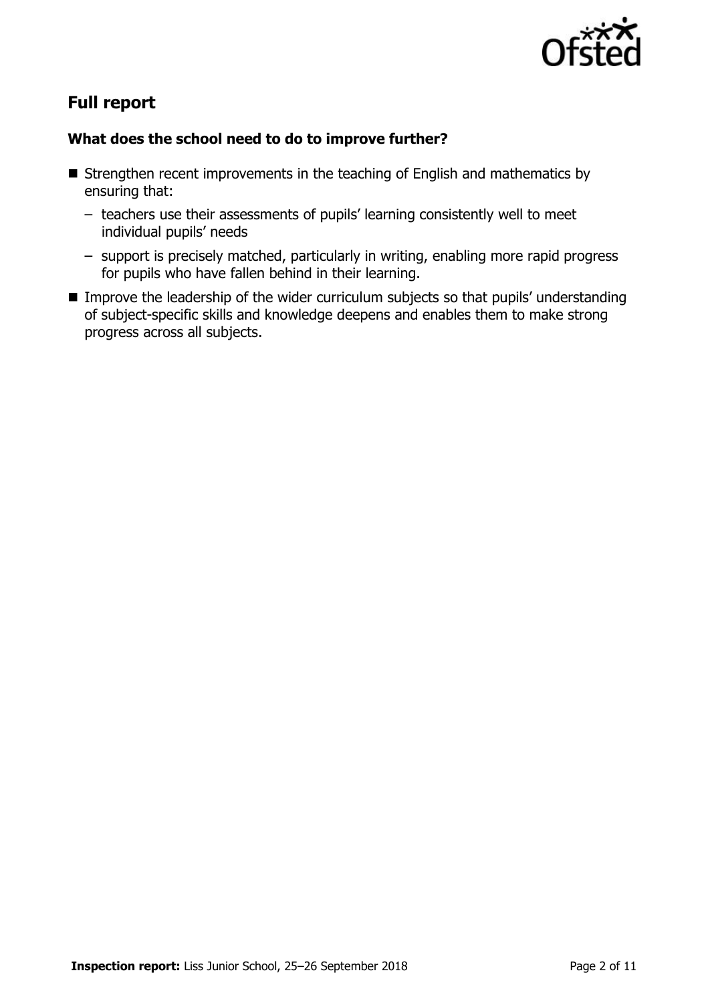

# **Full report**

### **What does the school need to do to improve further?**

- Strengthen recent improvements in the teaching of English and mathematics by ensuring that:
	- teachers use their assessments of pupils' learning consistently well to meet individual pupils' needs
	- support is precisely matched, particularly in writing, enabling more rapid progress for pupils who have fallen behind in their learning.
- **IMPROVE THE leadership of the wider curriculum subjects so that pupils' understanding** of subject-specific skills and knowledge deepens and enables them to make strong progress across all subjects.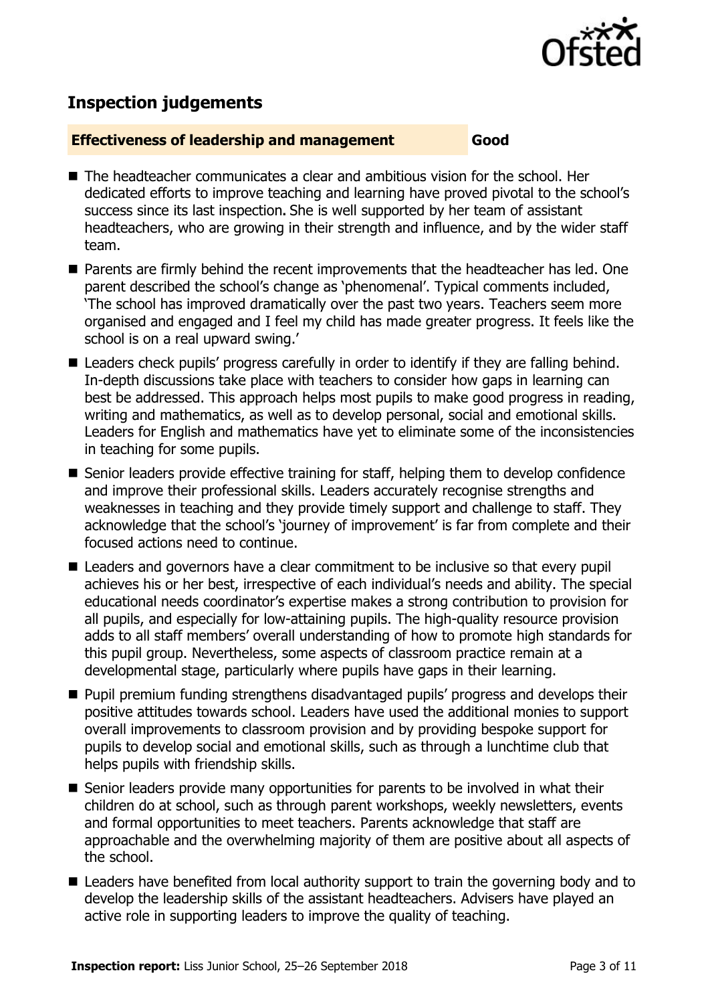

# **Inspection judgements**

#### **Effectiveness of leadership and management Good**

- The headteacher communicates a clear and ambitious vision for the school. Her dedicated efforts to improve teaching and learning have proved pivotal to the school's success since its last inspection**.** She is well supported by her team of assistant headteachers, who are growing in their strength and influence, and by the wider staff team.
- **Parents are firmly behind the recent improvements that the headteacher has led. One** parent described the school's change as 'phenomenal'. Typical comments included, 'The school has improved dramatically over the past two years. Teachers seem more organised and engaged and I feel my child has made greater progress. It feels like the school is on a real upward swing.'
- Leaders check pupils' progress carefully in order to identify if they are falling behind. In-depth discussions take place with teachers to consider how gaps in learning can best be addressed. This approach helps most pupils to make good progress in reading, writing and mathematics, as well as to develop personal, social and emotional skills. Leaders for English and mathematics have yet to eliminate some of the inconsistencies in teaching for some pupils.
- Senior leaders provide effective training for staff, helping them to develop confidence and improve their professional skills. Leaders accurately recognise strengths and weaknesses in teaching and they provide timely support and challenge to staff. They acknowledge that the school's 'journey of improvement' is far from complete and their focused actions need to continue.
- Leaders and governors have a clear commitment to be inclusive so that every pupil achieves his or her best, irrespective of each individual's needs and ability. The special educational needs coordinator's expertise makes a strong contribution to provision for all pupils, and especially for low-attaining pupils. The high-quality resource provision adds to all staff members' overall understanding of how to promote high standards for this pupil group. Nevertheless, some aspects of classroom practice remain at a developmental stage, particularly where pupils have gaps in their learning.
- Pupil premium funding strengthens disadvantaged pupils' progress and develops their positive attitudes towards school. Leaders have used the additional monies to support overall improvements to classroom provision and by providing bespoke support for pupils to develop social and emotional skills, such as through a lunchtime club that helps pupils with friendship skills.
- Senior leaders provide many opportunities for parents to be involved in what their children do at school, such as through parent workshops, weekly newsletters, events and formal opportunities to meet teachers. Parents acknowledge that staff are approachable and the overwhelming majority of them are positive about all aspects of the school.
- Leaders have benefited from local authority support to train the governing body and to develop the leadership skills of the assistant headteachers. Advisers have played an active role in supporting leaders to improve the quality of teaching.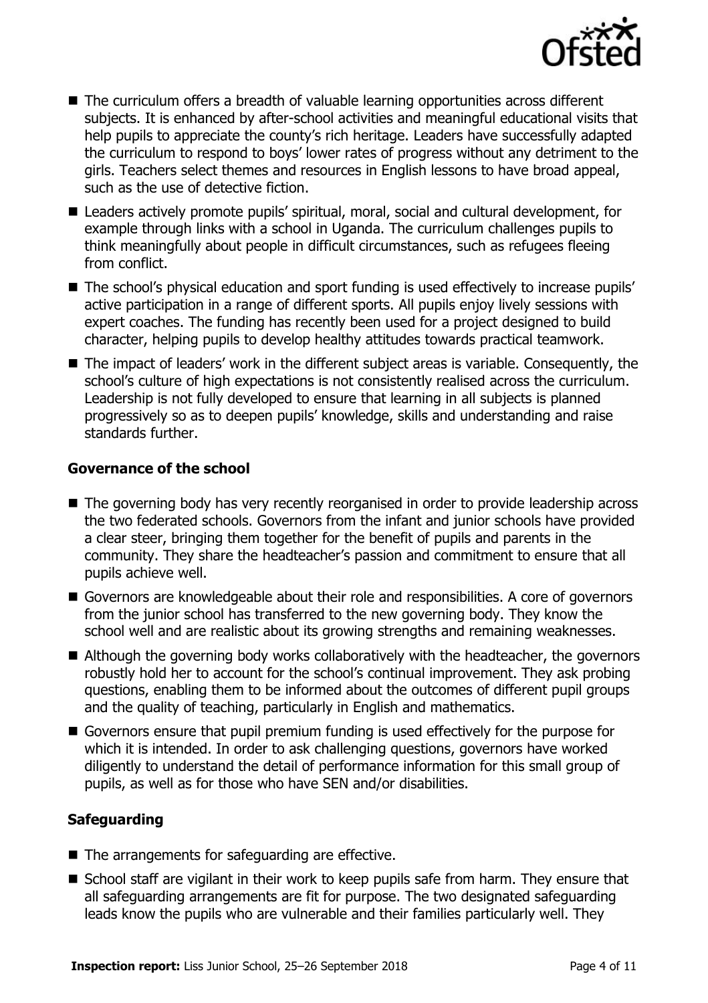

- The curriculum offers a breadth of valuable learning opportunities across different subjects. It is enhanced by after-school activities and meaningful educational visits that help pupils to appreciate the county's rich heritage. Leaders have successfully adapted the curriculum to respond to boys' lower rates of progress without any detriment to the girls. Teachers select themes and resources in English lessons to have broad appeal, such as the use of detective fiction.
- Leaders actively promote pupils' spiritual, moral, social and cultural development, for example through links with a school in Uganda. The curriculum challenges pupils to think meaningfully about people in difficult circumstances, such as refugees fleeing from conflict.
- The school's physical education and sport funding is used effectively to increase pupils' active participation in a range of different sports. All pupils enjoy lively sessions with expert coaches. The funding has recently been used for a project designed to build character, helping pupils to develop healthy attitudes towards practical teamwork.
- The impact of leaders' work in the different subject areas is variable. Consequently, the school's culture of high expectations is not consistently realised across the curriculum. Leadership is not fully developed to ensure that learning in all subjects is planned progressively so as to deepen pupils' knowledge, skills and understanding and raise standards further.

#### **Governance of the school**

- The governing body has very recently reorganised in order to provide leadership across the two federated schools. Governors from the infant and junior schools have provided a clear steer, bringing them together for the benefit of pupils and parents in the community. They share the headteacher's passion and commitment to ensure that all pupils achieve well.
- Governors are knowledgeable about their role and responsibilities. A core of governors from the junior school has transferred to the new governing body. They know the school well and are realistic about its growing strengths and remaining weaknesses.
- Although the governing body works collaboratively with the headteacher, the governors robustly hold her to account for the school's continual improvement. They ask probing questions, enabling them to be informed about the outcomes of different pupil groups and the quality of teaching, particularly in English and mathematics.
- Governors ensure that pupil premium funding is used effectively for the purpose for which it is intended. In order to ask challenging questions, governors have worked diligently to understand the detail of performance information for this small group of pupils, as well as for those who have SEN and/or disabilities.

#### **Safeguarding**

- $\blacksquare$  The arrangements for safeguarding are effective.
- School staff are vigilant in their work to keep pupils safe from harm. They ensure that all safeguarding arrangements are fit for purpose. The two designated safeguarding leads know the pupils who are vulnerable and their families particularly well. They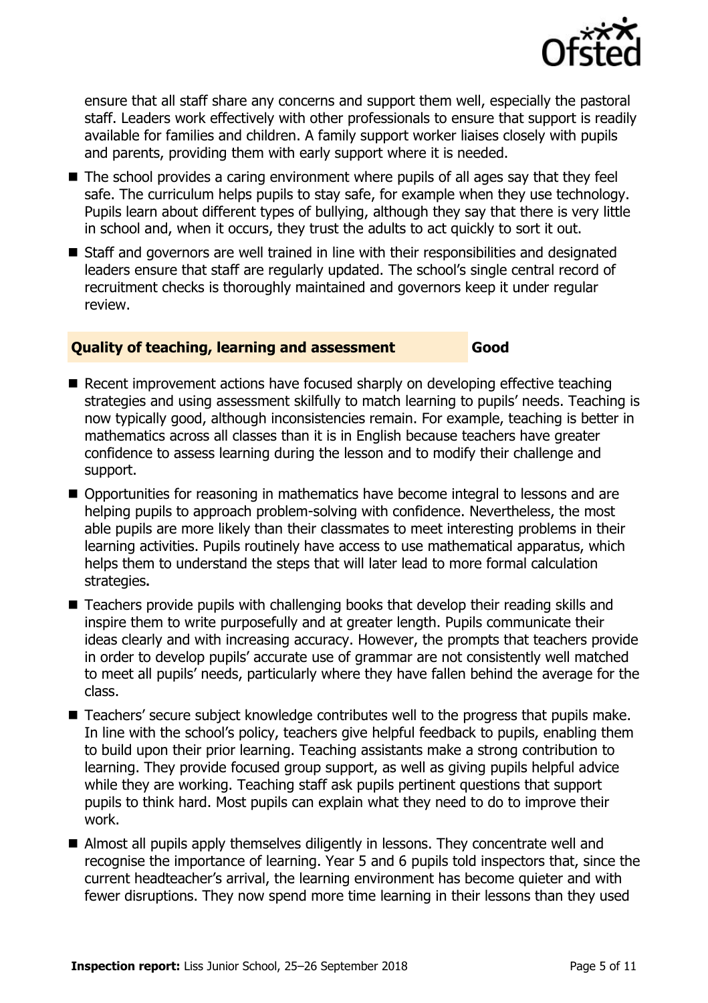

ensure that all staff share any concerns and support them well, especially the pastoral staff. Leaders work effectively with other professionals to ensure that support is readily available for families and children. A family support worker liaises closely with pupils and parents, providing them with early support where it is needed.

- The school provides a caring environment where pupils of all ages say that they feel safe. The curriculum helps pupils to stay safe, for example when they use technology. Pupils learn about different types of bullying, although they say that there is very little in school and, when it occurs, they trust the adults to act quickly to sort it out.
- Staff and governors are well trained in line with their responsibilities and designated leaders ensure that staff are regularly updated. The school's single central record of recruitment checks is thoroughly maintained and governors keep it under regular review.

#### **Quality of teaching, learning and assessment Good**

- Recent improvement actions have focused sharply on developing effective teaching strategies and using assessment skilfully to match learning to pupils' needs. Teaching is now typically good, although inconsistencies remain. For example, teaching is better in mathematics across all classes than it is in English because teachers have greater confidence to assess learning during the lesson and to modify their challenge and support.
- Opportunities for reasoning in mathematics have become integral to lessons and are helping pupils to approach problem-solving with confidence. Nevertheless, the most able pupils are more likely than their classmates to meet interesting problems in their learning activities. Pupils routinely have access to use mathematical apparatus, which helps them to understand the steps that will later lead to more formal calculation strategies**.**
- Teachers provide pupils with challenging books that develop their reading skills and inspire them to write purposefully and at greater length. Pupils communicate their ideas clearly and with increasing accuracy. However, the prompts that teachers provide in order to develop pupils' accurate use of grammar are not consistently well matched to meet all pupils' needs, particularly where they have fallen behind the average for the class.
- Teachers' secure subject knowledge contributes well to the progress that pupils make. In line with the school's policy, teachers give helpful feedback to pupils, enabling them to build upon their prior learning. Teaching assistants make a strong contribution to learning. They provide focused group support, as well as giving pupils helpful advice while they are working. Teaching staff ask pupils pertinent questions that support pupils to think hard. Most pupils can explain what they need to do to improve their work.
- Almost all pupils apply themselves diligently in lessons. They concentrate well and recognise the importance of learning. Year 5 and 6 pupils told inspectors that, since the current headteacher's arrival, the learning environment has become quieter and with fewer disruptions. They now spend more time learning in their lessons than they used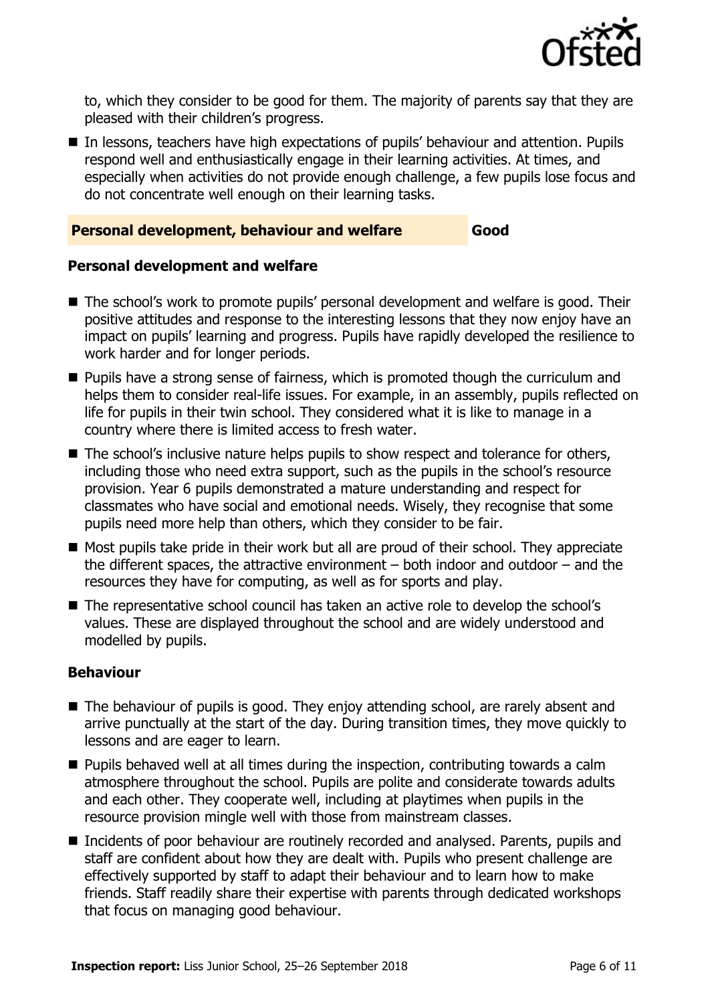

to, which they consider to be good for them. The majority of parents say that they are pleased with their children's progress.

■ In lessons, teachers have high expectations of pupils' behaviour and attention. Pupils respond well and enthusiastically engage in their learning activities. At times, and especially when activities do not provide enough challenge, a few pupils lose focus and do not concentrate well enough on their learning tasks.

#### **Personal development, behaviour and welfare Good**

#### **Personal development and welfare**

- The school's work to promote pupils' personal development and welfare is good. Their positive attitudes and response to the interesting lessons that they now enjoy have an impact on pupils' learning and progress. Pupils have rapidly developed the resilience to work harder and for longer periods.
- **Pupils have a strong sense of fairness, which is promoted though the curriculum and** helps them to consider real-life issues. For example, in an assembly, pupils reflected on life for pupils in their twin school. They considered what it is like to manage in a country where there is limited access to fresh water.
- The school's inclusive nature helps pupils to show respect and tolerance for others, including those who need extra support, such as the pupils in the school's resource provision. Year 6 pupils demonstrated a mature understanding and respect for classmates who have social and emotional needs. Wisely, they recognise that some pupils need more help than others, which they consider to be fair.
- Most pupils take pride in their work but all are proud of their school. They appreciate the different spaces, the attractive environment  $-$  both indoor and outdoor  $-$  and the resources they have for computing, as well as for sports and play.
- The representative school council has taken an active role to develop the school's values. These are displayed throughout the school and are widely understood and modelled by pupils.

#### **Behaviour**

- The behaviour of pupils is good. They enjoy attending school, are rarely absent and arrive punctually at the start of the day. During transition times, they move quickly to lessons and are eager to learn.
- $\blacksquare$  Pupils behaved well at all times during the inspection, contributing towards a calm atmosphere throughout the school. Pupils are polite and considerate towards adults and each other. They cooperate well, including at playtimes when pupils in the resource provision mingle well with those from mainstream classes.
- Incidents of poor behaviour are routinely recorded and analysed. Parents, pupils and staff are confident about how they are dealt with. Pupils who present challenge are effectively supported by staff to adapt their behaviour and to learn how to make friends. Staff readily share their expertise with parents through dedicated workshops that focus on managing good behaviour.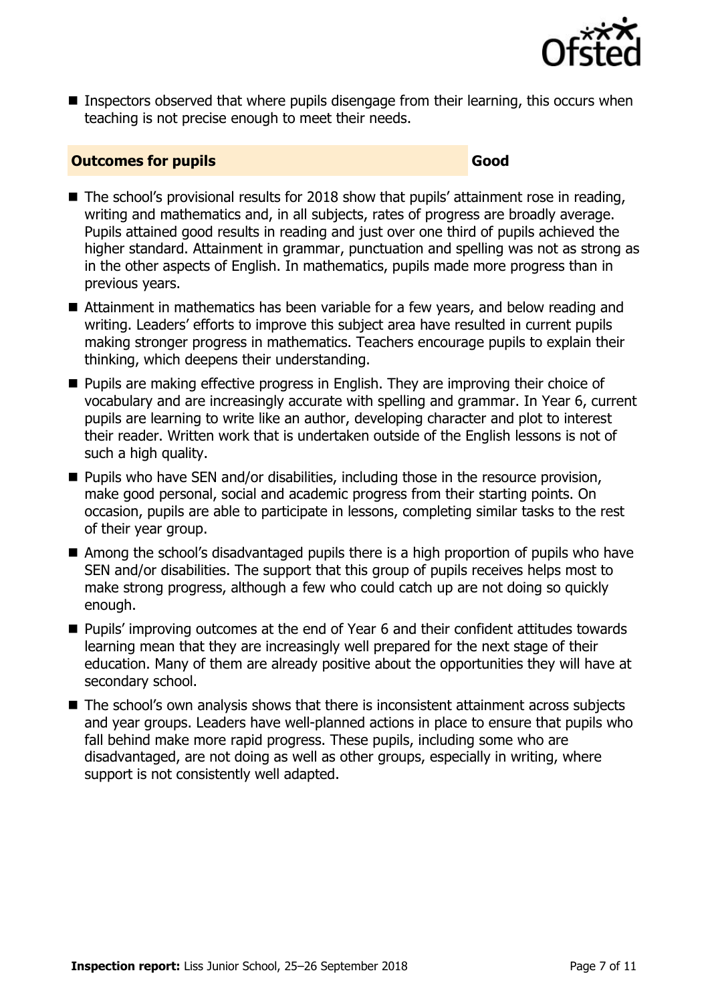

■ Inspectors observed that where pupils disengage from their learning, this occurs when teaching is not precise enough to meet their needs.

#### **Outcomes for pupils Good**

- The school's provisional results for 2018 show that pupils' attainment rose in reading, writing and mathematics and, in all subjects, rates of progress are broadly average. Pupils attained good results in reading and just over one third of pupils achieved the higher standard. Attainment in grammar, punctuation and spelling was not as strong as in the other aspects of English. In mathematics, pupils made more progress than in previous years.
- Attainment in mathematics has been variable for a few years, and below reading and writing. Leaders' efforts to improve this subject area have resulted in current pupils making stronger progress in mathematics. Teachers encourage pupils to explain their thinking, which deepens their understanding.
- **Pupils are making effective progress in English. They are improving their choice of** vocabulary and are increasingly accurate with spelling and grammar. In Year 6, current pupils are learning to write like an author, developing character and plot to interest their reader. Written work that is undertaken outside of the English lessons is not of such a high quality.
- **Pupils who have SEN and/or disabilities, including those in the resource provision,** make good personal, social and academic progress from their starting points. On occasion, pupils are able to participate in lessons, completing similar tasks to the rest of their year group.
- Among the school's disadvantaged pupils there is a high proportion of pupils who have SEN and/or disabilities. The support that this group of pupils receives helps most to make strong progress, although a few who could catch up are not doing so quickly enough.
- Pupils' improving outcomes at the end of Year 6 and their confident attitudes towards learning mean that they are increasingly well prepared for the next stage of their education. Many of them are already positive about the opportunities they will have at secondary school.
- The school's own analysis shows that there is inconsistent attainment across subjects and year groups. Leaders have well-planned actions in place to ensure that pupils who fall behind make more rapid progress. These pupils, including some who are disadvantaged, are not doing as well as other groups, especially in writing, where support is not consistently well adapted.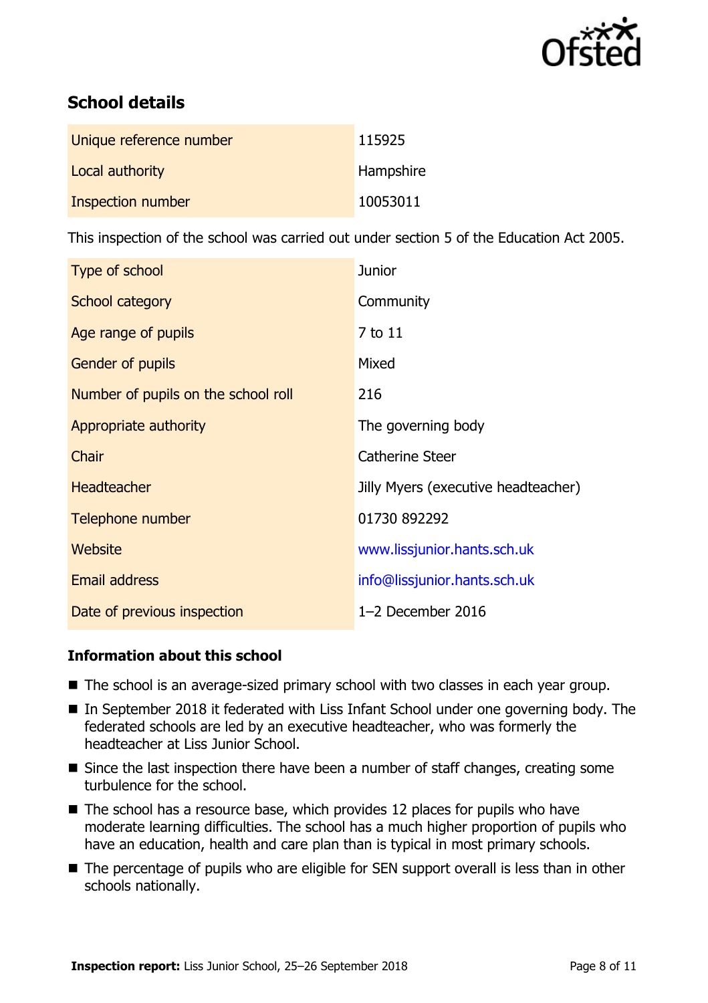

# **School details**

| Unique reference number | 115925    |
|-------------------------|-----------|
| Local authority         | Hampshire |
| Inspection number       | 10053011  |

This inspection of the school was carried out under section 5 of the Education Act 2005.

| Type of school                      | <b>Junior</b>                       |
|-------------------------------------|-------------------------------------|
| School category                     | Community                           |
| Age range of pupils                 | 7 to 11                             |
| <b>Gender of pupils</b>             | Mixed                               |
| Number of pupils on the school roll | 216                                 |
| Appropriate authority               | The governing body                  |
| Chair                               | <b>Catherine Steer</b>              |
| <b>Headteacher</b>                  | Jilly Myers (executive headteacher) |
| Telephone number                    | 01730 892292                        |
| Website                             | www.lissjunior.hants.sch.uk         |
| <b>Email address</b>                | info@lissjunior.hants.sch.uk        |
| Date of previous inspection         | 1-2 December 2016                   |

#### **Information about this school**

- The school is an average-sized primary school with two classes in each year group.
- In September 2018 it federated with Liss Infant School under one governing body. The federated schools are led by an executive headteacher, who was formerly the headteacher at Liss Junior School.
- Since the last inspection there have been a number of staff changes, creating some turbulence for the school.
- $\blacksquare$  The school has a resource base, which provides 12 places for pupils who have moderate learning difficulties. The school has a much higher proportion of pupils who have an education, health and care plan than is typical in most primary schools.
- The percentage of pupils who are eligible for SEN support overall is less than in other schools nationally.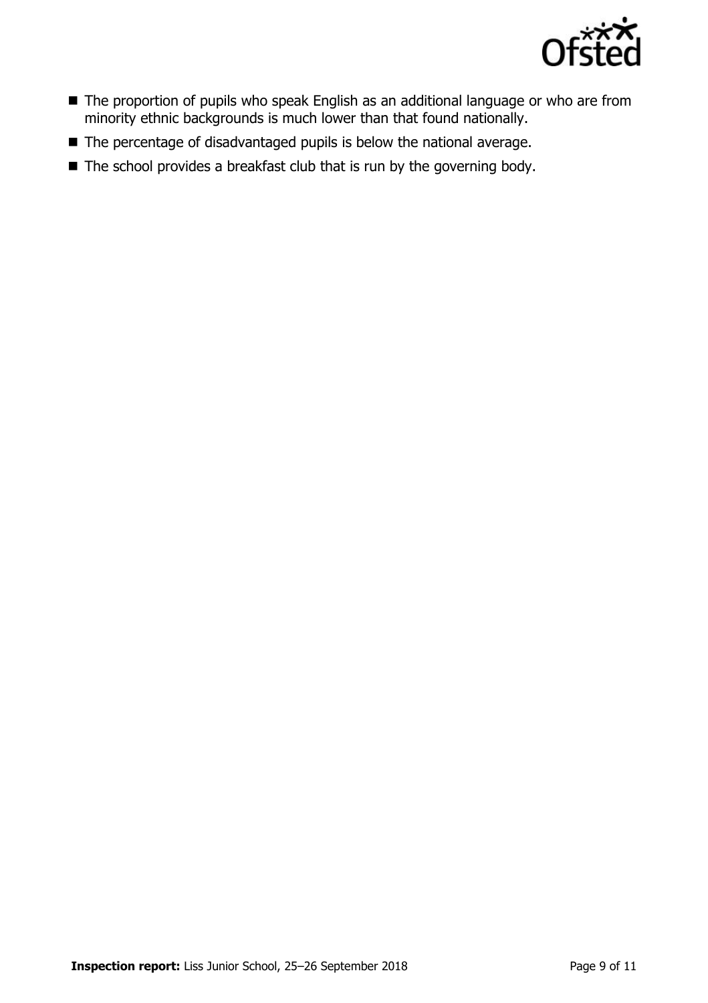

- The proportion of pupils who speak English as an additional language or who are from minority ethnic backgrounds is much lower than that found nationally.
- The percentage of disadvantaged pupils is below the national average.
- $\blacksquare$  The school provides a breakfast club that is run by the governing body.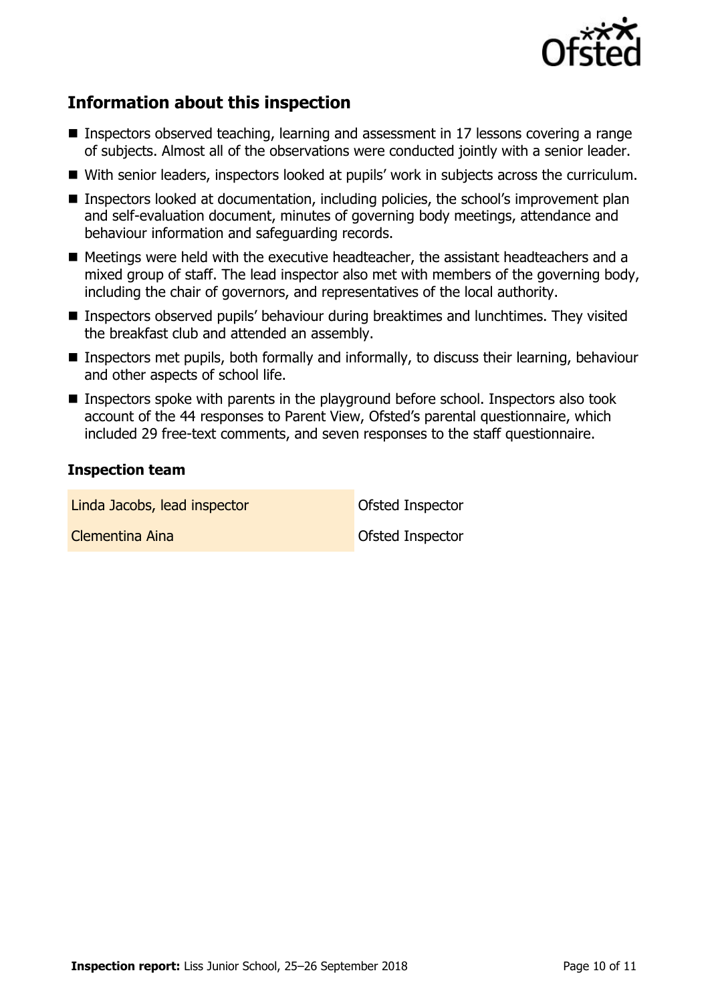

# **Information about this inspection**

- Inspectors observed teaching, learning and assessment in 17 lessons covering a range of subjects. Almost all of the observations were conducted jointly with a senior leader.
- With senior leaders, inspectors looked at pupils' work in subjects across the curriculum.
- Inspectors looked at documentation, including policies, the school's improvement plan and self-evaluation document, minutes of governing body meetings, attendance and behaviour information and safeguarding records.
- Meetings were held with the executive headteacher, the assistant headteachers and a mixed group of staff. The lead inspector also met with members of the governing body, including the chair of governors, and representatives of the local authority.
- Inspectors observed pupils' behaviour during breaktimes and lunchtimes. They visited the breakfast club and attended an assembly.
- Inspectors met pupils, both formally and informally, to discuss their learning, behaviour and other aspects of school life.
- **Inspectors spoke with parents in the playground before school. Inspectors also took** account of the 44 responses to Parent View, Ofsted's parental questionnaire, which included 29 free-text comments, and seven responses to the staff questionnaire.

#### **Inspection team**

| Linda Jacobs, lead inspector | <b>Ofsted Inspector</b> |
|------------------------------|-------------------------|
| Clementina Aina              | <b>Ofsted Inspector</b> |